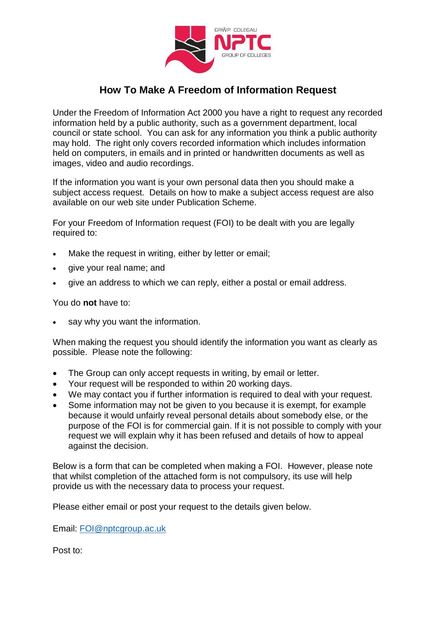

## **How To Make A Freedom of Information Request**

Under the Freedom of Information Act 2000 you have a right to request any recorded information held by a public authority, such as a government department, local council or state school. You can ask for any information you think a public authority may hold. The right only covers recorded information which includes information held on computers, in emails and in printed or handwritten documents as well as images, video and audio recordings.

If the information you want is your own personal data then you should make a subject access request. Details on how to make a subject access request are also available on our web site under Publication Scheme.

For your Freedom of Information request (FOI) to be dealt with you are legally required to:

- Make the request in writing, either by letter or email;
- give your real name; and
- give an address to which we can reply, either a postal or email address.

You do **not** have to:

say why you want the information.

When making the request you should identify the information you want as clearly as possible. Please note the following:

- The Group can only accept requests in writing, by email or letter.
- Your request will be responded to within 20 working days.
- We may contact you if further information is required to deal with your request.
- Some information may not be given to you because it is exempt, for example because it would unfairly reveal personal details about somebody else, or the purpose of the FOI is for commercial gain. If it is not possible to comply with your request we will explain why it has been refused and details of how to appeal against the decision.

Below is a form that can be completed when making a FOI. However, please note that whilst completion of the attached form is not compulsory, its use will help provide us with the necessary data to process your request.

Please either email or post your request to the details given below.

Email: [FOI@nptcgroup.ac.uk](mailto:FOI@nptcgroup.ac.uk)

Post to: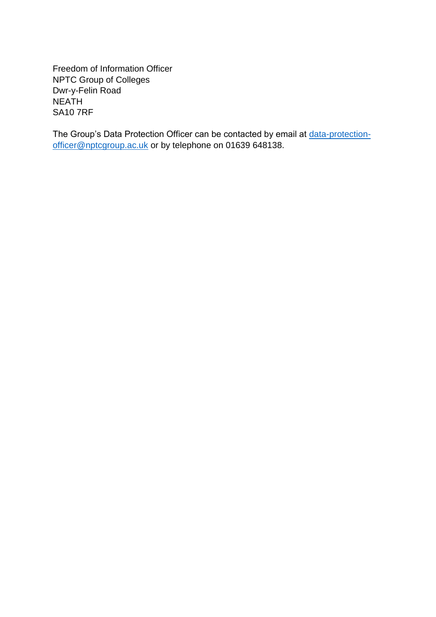Freedom of Information Officer NPTC Group of Colleges Dwr-y-Felin Road NEATH SA10 7RF

The Group's Data Protection Officer can be contacted by email at [data-protection](mailto:data-protection-officer@nptcgroup.ac.uk)[officer@nptcgroup.ac.uk](mailto:data-protection-officer@nptcgroup.ac.uk) or by telephone on 01639 648138.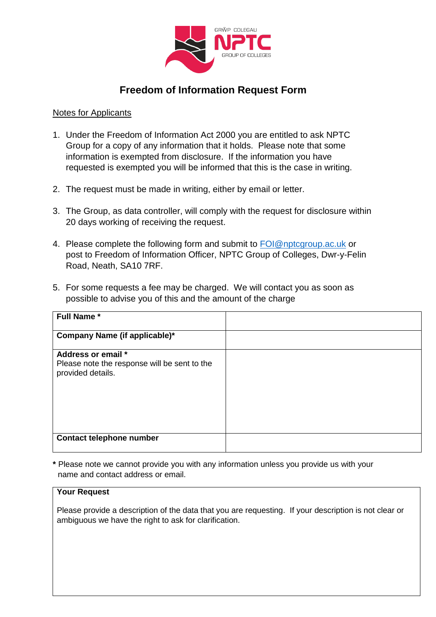

## **Freedom of Information Request Form**

## Notes for Applicants

- 1. Under the Freedom of Information Act 2000 you are entitled to ask NPTC Group for a copy of any information that it holds. Please note that some information is exempted from disclosure. If the information you have requested is exempted you will be informed that this is the case in writing.
- 2. The request must be made in writing, either by email or letter.
- 3. The Group, as data controller, will comply with the request for disclosure within 20 days working of receiving the request.
- 4. Please complete the following form and submit to [FOI@nptcgroup.ac.uk](mailto:FOI@nptcgroup.ac.uk) or post to Freedom of Information Officer, NPTC Group of Colleges, Dwr-y-Felin Road, Neath, SA10 7RF.
- 5. For some requests a fee may be charged. We will contact you as soon as possible to advise you of this and the amount of the charge

| <b>Full Name*</b>                                                                       |  |
|-----------------------------------------------------------------------------------------|--|
| Company Name (if applicable)*                                                           |  |
| Address or email *<br>Please note the response will be sent to the<br>provided details. |  |
| <b>Contact telephone number</b>                                                         |  |

**\*** Please note we cannot provide you with any information unless you provide us with your name and contact address or email.

## **Your Request**

Please provide a description of the data that you are requesting. If your description is not clear or ambiguous we have the right to ask for clarification.